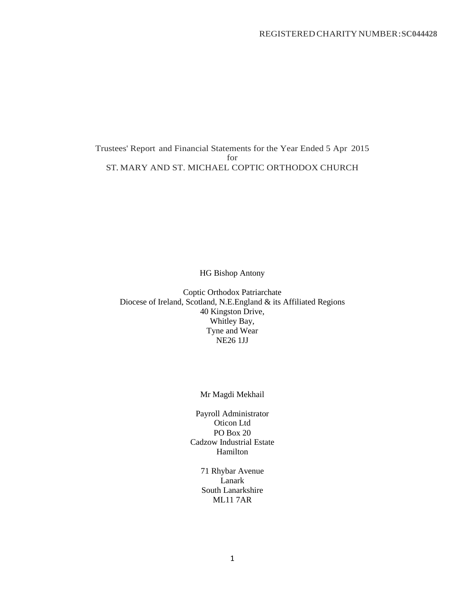Trustees' Report and Financial Statements for the Year Ended 5 Apr 2015 for ST. MARY AND ST. MICHAEL COPTIC ORTHODOX CHURCH

HG Bishop Antony

Coptic Orthodox Patriarchate Diocese of Ireland, Scotland, N.E.England & its Affiliated Regions 40 Kingston Drive, Whitley Bay, Tyne and Wear NE26 1JJ

## Mr Magdi Mekhail

Payroll Administrator Oticon Ltd PO Box 20 Cadzow Industrial Estate Hamilton

> 71 Rhybar Avenue Lanark South Lanarkshire ML11 7AR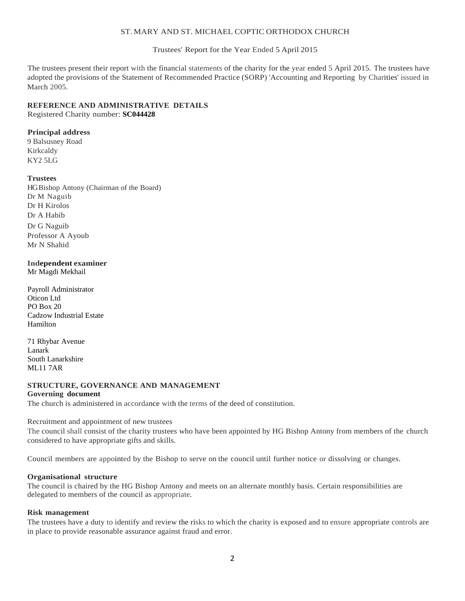## ST. MARY AND ST. MICHAEL COPTIC ORTHODOX CHURCH

Trustees' Report for the Year Ended 5 April 2015

The trustees present their report with the financial statements of the charity for the year ended 5 April 2015. The trustees have adopted the provisions of the Statement of Recommended Practice (SORP) 'Accounting and Reporting by Charities' issued in March 2005.

# **REFERENCE AND ADMINISTRATIVE DETAILS**

Registered Charity number: **SC044428**

## **Principal address**

9 Balsusney Road Kirkcaldy KY2 5LG

## **Trustees**

HG Bishop Antony (Chairman of the Board) Dr M Naguib Dr H Kirolos Dr A Habib Dr G Naguib Professor A Ayoub Mr N Shahid

#### **Independent examiner** Mr Magdi Mekhail

Payroll Administrator

Oticon Ltd PO Box 20 Cadzow Industrial Estate Hamilton

71 Rhybar Avenue Lanark South Lanarkshire ML11 7AR

#### **STRUCTURE, GOVERNANCE AND MANAGEMENT Governing document**

The church is administered in accordance with the terms of the deed of constitution.

Recruitment and appointment of new trustees

The council shall consist of the charity trustees who have been appointed by HG Bishop Antony from members of the church considered to have appropriate gifts and skills.

Council members are appointed by the Bishop to serve on the council until further notice or dissolving or changes.

## **Organisational structure**

The council is chaired by the HG Bishop Antony and meets on an alternate monthly basis. Certain responsibilities are delegated to members of the council as appropriate.

## **Risk management**

The trustees have a duty to identify and review the risks to which the charity is exposed and to ensure appropriate controls are in place to provide reasonable assurance against fraud and error.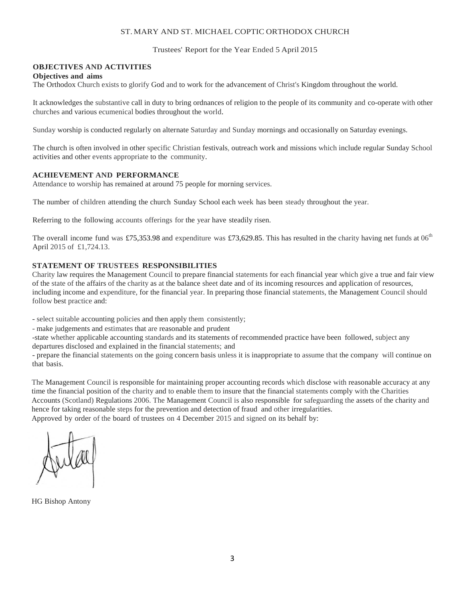## ST. MARY AND ST. MICHAEL COPTIC ORTHODOX CHURCH

Trustees' Report for the Year Ended 5 April 2015

## **OBJECTIVES AND ACTIVITIES**

#### **Objectives and aims**

The Orthodox Church exists to glorify God and to work for the advancement of Christ's Kingdom throughout the world.

It acknowledges the substantive call in duty to bring ordnances of religion to the people of its community and co-operate with other churches and various ecumenical bodies throughout the world.

Sunday worship is conducted regularly on alternate Saturday and Sunday mornings and occasionally on Saturday evenings.

The church is often involved in other specific Christian festivals, outreach work and missions which include regular Sunday School activities and other events appropriate to the community.

## **ACHIEVEMENT AND PERFORMANCE**

Attendance to worship has remained at around 75 people for morning services.

The number of children attending the church Sunday School each week has been steady throughout the year.

Referring to the following accounts offerings for the year have steadily risen.

The overall income fund was £75,353.98 and expenditure was £73,629.85. This has resulted in the charity having net funds at  $06<sup>th</sup>$ April 2015 of £1,724.13.

#### **STATEMENT OF TRUSTEES RESPONSIBILITIES**

Charity law requires the Management Council to prepare financial statements for each financial year which give a true and fair view of the state of the affairs of the charity as at the balance sheet date and of its incoming resources and application of resources, including income and expenditure, for the financial year. In preparing those financial statements, the Management Council should follow best practice and:

- select suitable accounting policies and then apply them consistently;

- make judgements and estimates that are reasonable and prudent

-state whether applicable accounting standards and its statements of recommended practice have been followed, subject any departures disclosed and explained in the financial statements; and

- prepare the financial statements on the going concern basis unless it is inappropriate to assume that the company will continue on that basis.

The Management Council is responsible for maintaining proper accounting records which disclose with reasonable accuracy at any time the financial position of the charity and to enable them to insure that the financial statements comply with the Charities Accounts (Scotland) Regulations 2006. The Management Council is also responsible for safeguarding the assets of the charity and hence for taking reasonable steps for the prevention and detection of fraud and other irregularities.

Approved by order of the board of trustees on 4 December 2015 and signed on its behalf by:

HG Bishop Antony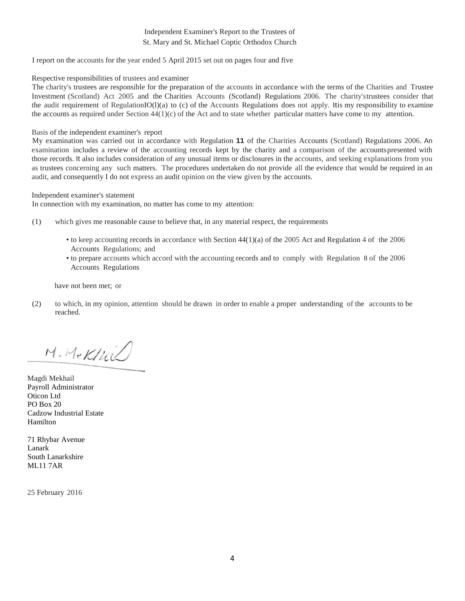## Independent Examiner's Report to the Trustees of St. Mary and St. Michael Coptic Orthodox Church

I report on the accounts for the year ended 5 April 2015 set out on pages four and five

#### Respective responsibilities of trustees and examiner

The charity's trustees are responsible for the preparation of the accounts in accordance with the terms of the Charities and Trustee Investment (Scotland) Act 2005 and the Charities Accounts (Scotland) Regulations 2006. The charity'strustees consider that the audit requirement of RegulationIO( $l$ )(a) to (c) of the Accounts Regulations does not apply. It is my responsibility to examine the accounts as required under Section  $44(1)(c)$  of the Act and to state whether particular matters have come to my attention.

#### Basis of the independent examiner's report

My examination was carried out in accordance with Regulation **11** of the Charities Accounts (Scotland) Regulations 2006. An examination includes a review of the accounting records kept by the charity and a comparison of the accountspresented with those records. It also includes consideration of any unusual items or disclosures in the accounts, and seeking explanations from you as trustees concerning any such matters. The procedures undertaken do not provide all the evidence that would be required in an audit, and consequently I do not express an audit opinion on the view given by the accounts.

#### Independent examiner's statement

In connection with my examination, no matter has come to my attention:

- (1) which gives me reasonable cause to believe that, in any material respect, the requirements
	- to keep accounting records in accordance with Section 44(1)(a) of the 2005 Act and Regulation 4 of the 2006 Accounts Regulations; and
	- to prepare accounts which accord with the accounting records and to comply with Regulation 8 of the 2006 Accounts Regulations

have not been met; or

(2) to which, in my opinion, attention should be drawn in order to enable a proper understanding of the accounts to be reached.

M. Mekfuil

Magdi Mekhail Payroll Administrator Oticon Ltd PO Box 20 Cadzow Industrial Estate Hamilton

71 Rhybar Avenue Lanark South Lanarkshire ML11 7AR

25 February 2016